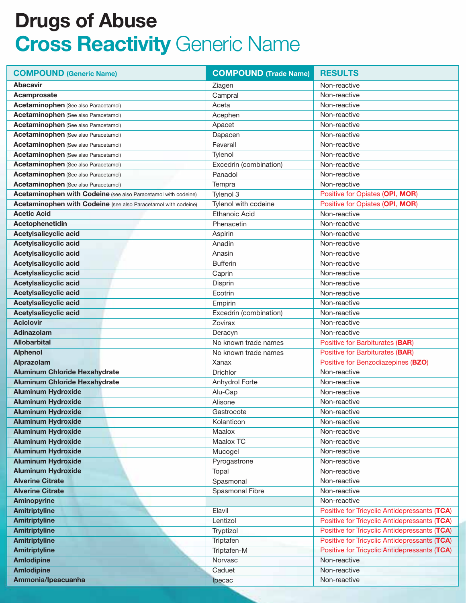| <b>COMPOUND (Generic Name)</b>                                 | <b>COMPOUND (Trade Name)</b> | <b>RESULTS</b>                               |
|----------------------------------------------------------------|------------------------------|----------------------------------------------|
| <b>Abacavir</b>                                                | Ziagen                       | Non-reactive                                 |
| Acamprosate                                                    | Campral                      | Non-reactive                                 |
| Acetaminophen (See also Paracetamol)                           | Aceta                        | Non-reactive                                 |
| Acetaminophen (See also Paracetamol)                           | Acephen                      | Non-reactive                                 |
| Acetaminophen (See also Paracetamol)                           | Apacet                       | Non-reactive                                 |
| Acetaminophen (See also Paracetamol)                           | Dapacen                      | Non-reactive                                 |
| Acetaminophen (See also Paracetamol)                           | Feverall                     | Non-reactive                                 |
| Acetaminophen (See also Paracetamol)                           | Tylenol                      | Non-reactive                                 |
| Acetaminophen (See also Paracetamol)                           | Excedrin (combination)       | Non-reactive                                 |
| <b>Acetaminophen</b> (See also Paracetamol)                    | Panadol                      | Non-reactive                                 |
| Acetaminophen (See also Paracetamol)                           | Tempra                       | Non-reactive                                 |
| Acetaminophen with Codeine (see also Paracetamol with codeine) | Tylenol 3                    | Positive for Opiates (OPI, MOR)              |
| Acetaminophen with Codeine (see also Paracetamol with codeine) | Tylenol with codeine         | Positive for Opiates (OPI, MOR)              |
| <b>Acetic Acid</b>                                             | <b>Ethanoic Acid</b>         | Non-reactive                                 |
| Acetophenetidin                                                | Phenacetin                   | Non-reactive                                 |
| Acetylsalicyclic acid                                          | Aspirin                      | Non-reactive                                 |
| Acetylsalicyclic acid                                          | Anadin                       | Non-reactive                                 |
| Acetylsalicyclic acid                                          | Anasin                       | Non-reactive                                 |
| Acetylsalicyclic acid                                          | <b>Bufferin</b>              | Non-reactive                                 |
| Acetylsalicyclic acid                                          | Caprin                       | Non-reactive                                 |
| Acetylsalicyclic acid                                          | Disprin                      | Non-reactive                                 |
| Acetylsalicyclic acid                                          | Ecotrin                      | Non-reactive                                 |
| Acetylsalicyclic acid                                          | Empirin                      | Non-reactive                                 |
| Acetylsalicyclic acid                                          | Excedrin (combination)       | Non-reactive                                 |
| <b>Aciclovir</b>                                               | Zovirax                      | Non-reactive                                 |
| Adinazolam                                                     | Deracyn                      | Non-reactive                                 |
| <b>Allobarbital</b>                                            | No known trade names         | Positive for Barbiturates (BAR)              |
| <b>Alphenol</b>                                                | No known trade names         | <b>Positive for Barbiturates (BAR)</b>       |
| Alprazolam                                                     | Xanax                        | Positive for Benzodiazepines (BZO)           |
| <b>Aluminum Chloride Hexahydrate</b>                           | <b>Drichlor</b>              | Non-reactive                                 |
| <b>Aluminum Chloride Hexahydrate</b>                           | Anhydrol Forte               | Non-reactive                                 |
| <b>Aluminum Hydroxide</b>                                      | Alu-Cap                      | Non-reactive                                 |
| <b>Aluminum Hydroxide</b>                                      | Alisone                      | Non-reactive                                 |
| <b>Aluminum Hydroxide</b>                                      | Gastrocote                   | Non-reactive                                 |
| <b>Aluminum Hydroxide</b>                                      | Kolanticon                   | Non-reactive                                 |
| <b>Aluminum Hydroxide</b>                                      | Maalox                       | Non-reactive                                 |
| <b>Aluminum Hydroxide</b>                                      | Maalox TC                    | Non-reactive                                 |
| <b>Aluminum Hydroxide</b>                                      | Mucogel                      | Non-reactive                                 |
| <b>Aluminum Hydroxide</b>                                      | Pyrogastrone                 | Non-reactive                                 |
| <b>Aluminum Hydroxide</b>                                      | Topal                        | Non-reactive                                 |
| <b>Alverine Citrate</b>                                        | Spasmonal                    | Non-reactive                                 |
| <b>Alverine Citrate</b>                                        | Spasmonal Fibre              | Non-reactive                                 |
| <b>Aminopyrine</b>                                             |                              | Non-reactive                                 |
| <b>Amitriptyline</b>                                           | Elavil                       | Positive for Tricyclic Antidepressants (TCA) |
| <b>Amitriptyline</b>                                           | Lentizol                     | Positive for Tricyclic Antidepressants (TCA) |
| <b>Amitriptyline</b>                                           | Tryptizol                    | Positive for Tricyclic Antidepressants (TCA) |
| <b>Amitriptyline</b>                                           | Triptafen                    | Positive for Tricyclic Antidepressants (TCA) |
| <b>Amitriptyline</b>                                           | Triptafen-M                  | Positive for Tricyclic Antidepressants (TCA) |
| <b>Amlodipine</b>                                              | Norvasc                      | Non-reactive                                 |
| <b>Amlodipine</b>                                              | Caduet                       | Non-reactive                                 |
| Ammonia/Ipeacuanha                                             | Ipecac                       | Non-reactive                                 |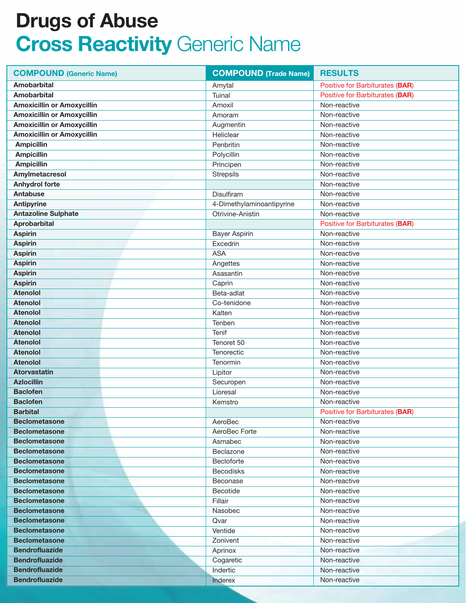| <b>COMPOUND (Generic Name)</b>    | <b>COMPOUND</b> (Trade Name) | <b>RESULTS</b>                  |
|-----------------------------------|------------------------------|---------------------------------|
| <b>Amobarbital</b>                | Amytal                       | Positive for Barbiturates (BAR) |
| <b>Amobarbital</b>                | Tuinal                       | Positive for Barbiturates (BAR) |
| <b>Amoxicillin or Amoxycillin</b> | Amoxil                       | Non-reactive                    |
| <b>Amoxicillin or Amoxycillin</b> | Amoram                       | Non-reactive                    |
| <b>Amoxicillin or Amoxycillin</b> | Augmentin                    | Non-reactive                    |
| <b>Amoxicillin or Amoxycillin</b> | Heliclear                    | Non-reactive                    |
| <b>Ampicillin</b>                 | Penbritin                    | Non-reactive                    |
| <b>Ampicillin</b>                 | Polycillin                   | Non-reactive                    |
| <b>Ampicillin</b>                 | Principen                    | Non-reactive                    |
| Amylmetacresol                    | <b>Strepsils</b>             | Non-reactive                    |
| <b>Anhydrol forte</b>             |                              | Non-reactive                    |
| <b>Antabuse</b>                   | Disulfiram                   | Non-reactive                    |
| <b>Antipyrine</b>                 | 4-Dimethylaminoantipyrine    | Non-reactive                    |
| <b>Antazoline Sulphate</b>        | Otrivine-Anistin             | Non-reactive                    |
| <b>Aprobarbital</b>               |                              | Positive for Barbiturates (BAR) |
| <b>Aspirin</b>                    | <b>Bayer Aspirin</b>         | Non-reactive                    |
| <b>Aspirin</b>                    | Excedrin                     | Non-reactive                    |
| <b>Aspirin</b>                    | <b>ASA</b>                   | Non-reactive                    |
| <b>Aspirin</b>                    | Angettes                     | Non-reactive                    |
| <b>Aspirin</b>                    | Asasantin                    | Non-reactive                    |
| <b>Aspirin</b>                    | Caprin                       | Non-reactive                    |
| <b>Atenolol</b>                   | Beta-adlat                   | Non-reactive                    |
| <b>Atenolol</b>                   | Co-tenidone                  | Non-reactive                    |
| <b>Atenolol</b>                   | Kalten                       | Non-reactive                    |
| <b>Atenolol</b>                   | Tenben                       | Non-reactive                    |
| <b>Atenolol</b>                   | <b>Tenif</b>                 | Non-reactive                    |
| <b>Atenolol</b>                   | Tenoret 50                   | Non-reactive                    |
| <b>Atenolol</b>                   | Tenorectic                   | Non-reactive                    |
| <b>Atenolol</b>                   | Tenormin                     | Non-reactive                    |
| <b>Atorvastatin</b>               | Lipitor                      | Non-reactive                    |
| <b>Azlocillin</b>                 | Securopen                    | Non-reactive                    |
| <b>Baclofen</b>                   | Lioresal                     | Non-reactive                    |
| <b>Baclofen</b>                   | Kemstro                      | Non-reactive                    |
| <b>Barbital</b>                   |                              | Positive for Barbiturates (BAR) |
| <b>Beclometasone</b>              | AeroBec                      | Non-reactive                    |
| <b>Beclometasone</b>              | AeroBec Forte                | Non-reactive                    |
| <b>Beclometasone</b>              | Asmabec                      | Non-reactive                    |
| <b>Beclometasone</b>              | Beclazone                    | Non-reactive                    |
| <b>Beclometasone</b>              | Becloforte                   | Non-reactive                    |
| <b>Beclometasone</b>              | <b>Becodisks</b>             | Non-reactive                    |
| <b>Beclometasone</b>              | Beconase                     | Non-reactive                    |
| <b>Beclometasone</b>              | Becotide                     | Non-reactive                    |
| <b>Beclometasone</b>              | Fillair                      | Non-reactive                    |
| <b>Beclometasone</b>              | Nasobec                      | Non-reactive                    |
| <b>Beclometasone</b>              | Qvar                         | Non-reactive                    |
| <b>Beclometasone</b>              | Ventide                      | Non-reactive                    |
| <b>Beclometasone</b>              | Zonivent                     | Non-reactive                    |
| <b>Bendrofluazide</b>             | Aprinox                      | Non-reactive                    |
| <b>Bendrofluazide</b>             | Cogaretic                    | Non-reactive                    |
| <b>Bendrofluazide</b>             | Indertic                     | Non-reactive                    |
| <b>Bendrofluazide</b>             | Inderex                      | Non-reactive                    |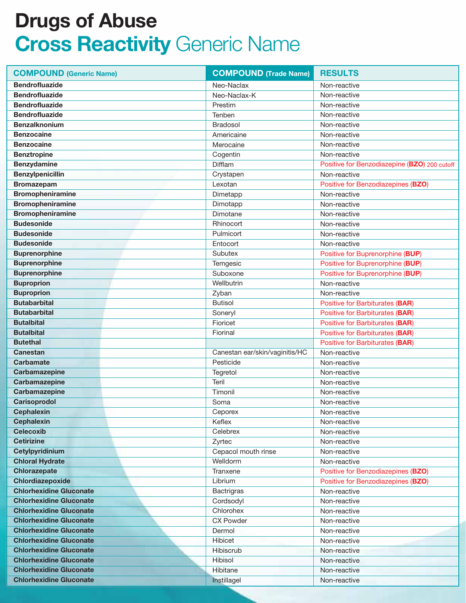| <b>COMPOUND (Generic Name)</b> | <b>COMPOUND (Trade Name)</b>   | <b>RESULTS</b>                               |
|--------------------------------|--------------------------------|----------------------------------------------|
| <b>Bendrofluazide</b>          | Neo-Naclax                     | Non-reactive                                 |
| <b>Bendrofluazide</b>          | Neo-Naclax-K                   | Non-reactive                                 |
| <b>Bendrofluazide</b>          | Prestim                        | Non-reactive                                 |
| <b>Bendrofluazide</b>          | Tenben                         | Non-reactive                                 |
| <b>Benzalknonium</b>           | <b>Bradosol</b>                | Non-reactive                                 |
| <b>Benzocaine</b>              | Americaine                     | Non-reactive                                 |
| <b>Benzocaine</b>              | Merocaine                      | Non-reactive                                 |
| <b>Benztropine</b>             | Cogentin                       | Non-reactive                                 |
| <b>Benzydamine</b>             | Difflam                        | Positive for Benzodiazepine (BZO) 200 cutoff |
| <b>Benzylpenicillin</b>        | Crystapen                      | Non-reactive                                 |
| <b>Bromazepam</b>              | Lexotan                        | Positive for Benzodiazepines (BZO)           |
| <b>Bromopheniramine</b>        | Dimetapp                       | Non-reactive                                 |
| Bromopheniramine               | Dimotapp                       | Non-reactive                                 |
| <b>Bromopheniramine</b>        | Dimotane                       | Non-reactive                                 |
| <b>Budesonide</b>              | Rhinocort                      | Non-reactive                                 |
| <b>Budesonide</b>              | Pulmicort                      | Non-reactive                                 |
| <b>Budesonide</b>              | Entocort                       | Non-reactive                                 |
| <b>Buprenorphine</b>           | Subutex                        | Positive for Buprenorphine (BUP)             |
| <b>Buprenorphine</b>           | Temgesic                       | Positive for Buprenorphine (BUP)             |
| <b>Buprenorphine</b>           | Suboxone                       | Positive for Buprenorphine (BUP)             |
| <b>Buproprion</b>              | Wellbutrin                     | Non-reactive                                 |
| <b>Buproprion</b>              | Zyban                          | Non-reactive                                 |
| <b>Butabarbital</b>            | <b>Butisol</b>                 | Positive for Barbiturates (BAR)              |
| <b>Butabarbital</b>            | Soneryl                        | Positive for Barbiturates (BAR)              |
| <b>Butalbital</b>              | Fioricet                       | Positive for Barbiturates (BAR)              |
| <b>Butalbital</b>              | Fiorinal                       | Positive for Barbiturates (BAR)              |
| <b>Butethal</b>                |                                | Positive for Barbiturates (BAR)              |
| <b>Canestan</b>                | Canestan ear/skin/vaginitis/HC | Non-reactive                                 |
| <b>Carbamate</b>               | Pesticide                      | Non-reactive                                 |
| Carbamazepine                  | Tegretol                       | Non-reactive                                 |
| Carbamazepine                  | Teril                          | Non-reactive                                 |
| Carbamazepine                  | Timonil                        | Non-reactive                                 |
| Carisoprodol                   | Soma                           | Non-reactive                                 |
| <b>Cephalexin</b>              | Ceporex                        | Non-reactive                                 |
| <b>Cephalexin</b>              | Keflex                         | Non-reactive                                 |
| <b>Celecoxib</b>               | Celebrex                       | Non-reactive                                 |
| <b>Cetirizine</b>              | Zyrtec                         | Non-reactive                                 |
| Cetylpyridinium                | Cepacol mouth rinse            | Non-reactive                                 |
| <b>Chloral Hydrate</b>         | Welldorm                       | Non-reactive                                 |
| <b>Chlorazepate</b>            | Tranxene                       | Positive for Benzodiazepines (BZO)           |
| Chlordiazepoxide               | Librium                        | Positive for Benzodiazepines (BZO)           |
| <b>Chlorhexidine Gluconate</b> | <b>Bactrigras</b>              | Non-reactive                                 |
| <b>Chlorhexidine Gluconate</b> | Cordsodyl                      | Non-reactive                                 |
| <b>Chlorhexidine Gluconate</b> | Chlorohex                      | Non-reactive                                 |
| <b>Chlorhexidine Gluconate</b> | <b>CX Powder</b>               | Non-reactive                                 |
| <b>Chlorhexidine Gluconate</b> | Dermol                         | Non-reactive                                 |
| <b>Chlorhexidine Gluconate</b> | Hibicet                        | Non-reactive                                 |
| <b>Chlorhexidine Gluconate</b> | Hibiscrub                      | Non-reactive                                 |
| <b>Chlorhexidine Gluconate</b> | Hibisol                        | Non-reactive                                 |
| <b>Chlorhexidine Gluconate</b> | Hibitane                       | Non-reactive                                 |
| <b>Chlorhexidine Gluconate</b> | Instillagel                    | Non-reactive                                 |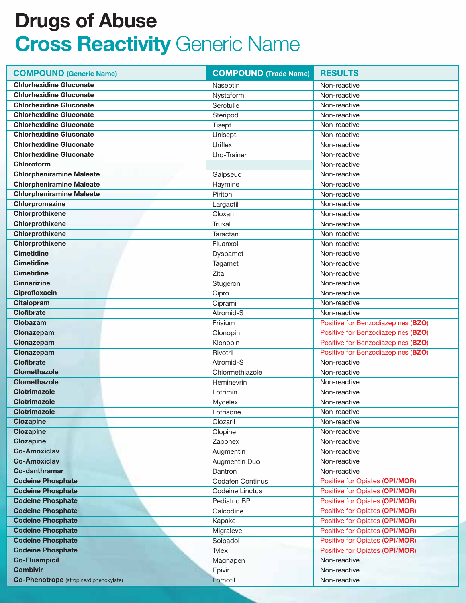| <b>COMPOUND (Generic Name)</b>         | <b>COMPOUND (Trade Name)</b> | <b>RESULTS</b>                        |
|----------------------------------------|------------------------------|---------------------------------------|
| <b>Chlorhexidine Gluconate</b>         | Naseptin                     | Non-reactive                          |
| <b>Chlorhexidine Gluconate</b>         | Nystaform                    | Non-reactive                          |
| <b>Chlorhexidine Gluconate</b>         | Serotulle                    | Non-reactive                          |
| <b>Chlorhexidine Gluconate</b>         | Steripod                     | Non-reactive                          |
| <b>Chlorhexidine Gluconate</b>         | Tisept                       | Non-reactive                          |
| <b>Chlorhexidine Gluconate</b>         | Unisept                      | Non-reactive                          |
| <b>Chlorhexidine Gluconate</b>         | Uriflex                      | Non-reactive                          |
| <b>Chlorhexidine Gluconate</b>         | Uro-Trainer                  | Non-reactive                          |
| Chloroform                             |                              | Non-reactive                          |
| <b>Chlorpheniramine Maleate</b>        | Galpseud                     | Non-reactive                          |
| <b>Chlorpheniramine Maleate</b>        | Haymine                      | Non-reactive                          |
| <b>Chlorpheniramine Maleate</b>        | Piriton                      | Non-reactive                          |
| Chlorpromazine                         | Largactil                    | Non-reactive                          |
| Chlorprothixene                        | Cloxan                       | Non-reactive                          |
| Chlorprothixene                        | Truxal                       | Non-reactive                          |
| Chlorprothixene                        | Taractan                     | Non-reactive                          |
| Chlorprothixene                        | Fluanxol                     | Non-reactive                          |
| <b>Cimetidine</b>                      | Dyspamet                     | Non-reactive                          |
| <b>Cimetidine</b>                      | Tagamet                      | Non-reactive                          |
| <b>Cimetidine</b>                      | Zita                         | Non-reactive                          |
| <b>Cinnarizine</b>                     | Stugeron                     | Non-reactive                          |
| Ciprofloxacin                          | Cipro                        | Non-reactive                          |
| <b>Citalopram</b>                      | Cipramil                     | Non-reactive                          |
| <b>Clofibrate</b>                      | Atromid-S                    | Non-reactive                          |
| Clobazam                               | Frisium                      | Positive for Benzodiazepines (BZO)    |
| Clonazepam                             | Clonopin                     | Positive for Benzodiazepines (BZO)    |
| Clonazepam                             | Klonopin                     | Positive for Benzodiazepines (BZO)    |
| Clonazepam                             | Rivotril                     | Positive for Benzodiazepines (BZO)    |
| <b>Clofibrate</b>                      | Atromid-S                    | Non-reactive                          |
| <b>Clomethazole</b>                    | Chlormethiazole              | Non-reactive                          |
| <b>Clomethazole</b>                    | Heminevrin                   | Non-reactive                          |
| <b>Clotrimazole</b>                    | Lotrimin                     | Non-reactive                          |
| <b>Clotrimazole</b>                    | Mycelex                      | Non-reactive                          |
| <b>Clotrimazole</b>                    | Lotrisone                    | Non-reactive                          |
| <b>Clozapine</b>                       | Clozaril                     | Non-reactive                          |
| <b>Clozapine</b>                       | Clopine                      | Non-reactive                          |
| <b>Clozapine</b>                       | Zaponex                      | Non-reactive                          |
| <b>Co-Amoxiclav</b>                    | Augmentin                    | Non-reactive                          |
| <b>Co-Amoxiclav</b>                    | Augmentin Duo                | Non-reactive                          |
| Co-danthramar                          | Dantron                      | Non-reactive                          |
| <b>Codeine Phosphate</b>               | <b>Codafen Continus</b>      | Positive for Opiates (OPI/MOR)        |
| <b>Codeine Phosphate</b>               | Codeine Linctus              | Positive for Opiates (OPI/MOR)        |
| <b>Codeine Phosphate</b>               | Pediatric BP                 | <b>Positive for Opiates (OPI/MOR)</b> |
| <b>Codeine Phosphate</b>               | Galcodine                    | Positive for Opiates (OPI/MOR)        |
| <b>Codeine Phosphate</b>               | Kapake                       | Positive for Opiates (OPI/MOR)        |
| <b>Codeine Phosphate</b>               | Migraleve                    | Positive for Opiates (OPI/MOR)        |
| <b>Codeine Phosphate</b>               | Solpadol                     | Positive for Opiates (OPI/MOR)        |
| <b>Codeine Phosphate</b>               | Tylex                        | Positive for Opiates (OPI/MOR)        |
| <b>Co-Fluampicil</b>                   | Magnapen                     | Non-reactive                          |
| <b>Combivir</b>                        | Epivir                       | Non-reactive                          |
| Co-Phenotrope (atropine/diphenoxylate) | Lomotil                      | Non-reactive                          |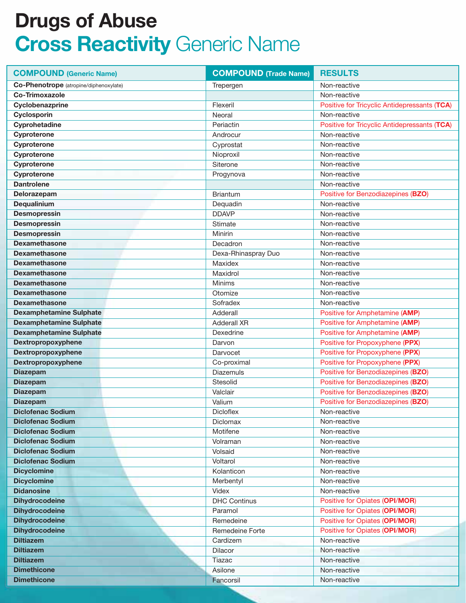| <b>COMPOUND (Generic Name)</b>         | <b>COMPOUND</b> (Trade Name) | <b>RESULTS</b>                               |
|----------------------------------------|------------------------------|----------------------------------------------|
| Co-Phenotrope (atropine/diphenoxylate) | Trepergen                    | Non-reactive                                 |
| <b>Co-Trimoxazole</b>                  |                              | Non-reactive                                 |
| Cyclobenazprine                        | Flexeril                     | Positive for Tricyclic Antidepressants (TCA) |
| Cyclosporin                            | Neoral                       | Non-reactive                                 |
| Cyprohetadine                          | Periactin                    | Positive for Tricyclic Antidepressants (TCA) |
| Cyproterone                            | Androcur                     | Non-reactive                                 |
| Cyproterone                            | Cyprostat                    | Non-reactive                                 |
| Cyproterone                            | Nioproxil                    | Non-reactive                                 |
| Cyproterone                            | Siterone                     | Non-reactive                                 |
| Cyproterone                            | Progynova                    | Non-reactive                                 |
| <b>Dantrolene</b>                      |                              | Non-reactive                                 |
| Delorazepam                            | <b>Briantum</b>              | Positive for Benzodiazepines (BZO)           |
| Dequalinium                            | Dequadin                     | Non-reactive                                 |
| <b>Desmopressin</b>                    | <b>DDAVP</b>                 | Non-reactive                                 |
| <b>Desmopressin</b>                    | Stimate                      | Non-reactive                                 |
| <b>Desmopressin</b>                    | Minirin                      | Non-reactive                                 |
| <b>Dexamethasone</b>                   | Decadron                     | Non-reactive                                 |
| <b>Dexamethasone</b>                   | Dexa-Rhinaspray Duo          | Non-reactive                                 |
| <b>Dexamethasone</b>                   | Maxidex                      | Non-reactive                                 |
| <b>Dexamethasone</b>                   | Maxidrol                     | Non-reactive                                 |
| <b>Dexamethasone</b>                   | Minims                       | Non-reactive                                 |
| <b>Dexamethasone</b>                   | Otomize                      | Non-reactive                                 |
| <b>Dexamethasone</b>                   | Sofradex                     | Non-reactive                                 |
| <b>Dexamphetamine Sulphate</b>         | Adderall                     | Positive for Amphetamine (AMP)               |
| <b>Dexamphetamine Sulphate</b>         | <b>Adderall XR</b>           | Positive for Amphetamine (AMP)               |
| <b>Dexamphetamine Sulphate</b>         | Dexedrine                    | Positive for Amphetamine (AMP)               |
| Dextropropoxyphene                     | Darvon                       | Positive for Propoxyphene (PPX)              |
| Dextropropoxyphene                     | Darvocet                     | Positive for Propoxyphene (PPX)              |
| Dextropropoxyphene                     | Co-proximal                  | Positive for Propoxyphene (PPX)              |
| <b>Diazepam</b>                        | <b>Diazemuls</b>             | Positive for Benzodiazepines (BZO)           |
| <b>Diazepam</b>                        | Stesolid                     | Positive for Benzodiazepines (BZO)           |
| <b>Diazepam</b>                        | Valclair                     | Positive for Benzodiazepines (BZO)           |
| <b>Diazepam</b>                        | Valium                       | Positive for Benzodiazepines (BZO)           |
| <b>Diclofenac Sodium</b>               | Dicloflex                    | Non-reactive                                 |
| <b>Diclofenac Sodium</b>               | Diclomax                     | Non-reactive                                 |
| <b>Diclofenac Sodium</b>               | Motifene                     | Non-reactive                                 |
| <b>Diclofenac Sodium</b>               | Volraman                     | Non-reactive                                 |
| <b>Diclofenac Sodium</b>               | Volsaid                      | Non-reactive                                 |
| <b>Diclofenac Sodium</b>               | Voltarol                     | Non-reactive                                 |
| <b>Dicyclomine</b>                     | Kolanticon                   | Non-reactive                                 |
| <b>Dicyclomine</b>                     | Merbentyl                    | Non-reactive                                 |
| <b>Didanosine</b>                      | Videx                        | Non-reactive                                 |
| <b>Dihydrocodeine</b>                  | <b>DHC Continus</b>          | Positive for Opiates (OPI/MOR)               |
| <b>Dihydrocodeine</b>                  | Paramol                      | Positive for Opiates (OPI/MOR)               |
| <b>Dihydrocodeine</b>                  | Remedeine                    | Positive for Opiates (OPI/MOR)               |
| <b>Dihydrocodeine</b>                  | Remedeine Forte              | Positive for Opiates (OPI/MOR)               |
| <b>Diltiazem</b>                       | Cardizem                     | Non-reactive                                 |
| <b>Diltiazem</b>                       | Dilacor                      | Non-reactive                                 |
| <b>Diltiazem</b>                       | Tiazac                       | Non-reactive                                 |
| <b>Dimethicone</b>                     | Asilone                      | Non-reactive                                 |
| <b>Dimethicone</b>                     | Fancorsil                    | Non-reactive                                 |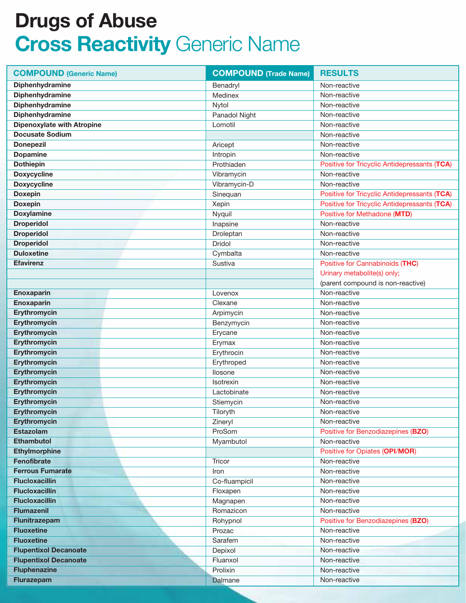| <b>COMPOUND (Generic Name)</b>    | <b>COMPOUND (Trade Name)</b> | <b>RESULTS</b>                               |
|-----------------------------------|------------------------------|----------------------------------------------|
| Diphenhydramine                   | Benadryl                     | Non-reactive                                 |
| Diphenhydramine                   | Medinex                      | Non-reactive                                 |
| Diphenhydramine                   | Nytol                        | Non-reactive                                 |
| Diphenhydramine                   | Panadol Night                | Non-reactive                                 |
| <b>Dipenoxylate with Atropine</b> | Lomotil                      | Non-reactive                                 |
| <b>Docusate Sodium</b>            |                              | Non-reactive                                 |
| <b>Donepezil</b>                  | Aricept                      | Non-reactive                                 |
| <b>Dopamine</b>                   | Intropin                     | Non-reactive                                 |
| <b>Dothiepin</b>                  | Prothiaden                   | Positive for Tricyclic Antidepressants (TCA) |
| <b>Doxycycline</b>                | Vibramycin                   | Non-reactive                                 |
| <b>Doxycycline</b>                | Vibramycin-D                 | Non-reactive                                 |
| <b>Doxepin</b>                    | Sinequan                     | Positive for Tricyclic Antidepressants (TCA) |
| <b>Doxepin</b>                    | Xepin                        | Positive for Tricyclic Antidepressants (TCA) |
| <b>Doxylamine</b>                 | Nyquil                       | Positive for Methadone (MTD)                 |
| <b>Droperidol</b>                 | Inapsine                     | Non-reactive                                 |
| <b>Droperidol</b>                 | Droleptan                    | Non-reactive                                 |
| <b>Droperidol</b>                 | Dridol                       | Non-reactive                                 |
| <b>Duloxetine</b>                 | Cymbalta                     | Non-reactive                                 |
| <b>Efavirenz</b>                  | Sustiva                      | Positive for Cannabinoids (THC)              |
|                                   |                              | Urinary metabolite(s) only;                  |
|                                   |                              | (parent compound is non-reactive)            |
| Enoxaparin                        | Lovenox                      | Non-reactive                                 |
| Enoxaparin                        | Clexane                      | Non-reactive                                 |
| Erythromycin                      | Arpimycin                    | Non-reactive                                 |
| Erythromycin                      | Benzymycin                   | Non-reactive                                 |
| <b>Erythromycin</b>               | Erycane                      | Non-reactive                                 |
| Erythromycin                      | Erymax                       | Non-reactive                                 |
| <b>Erythromycin</b>               | Erythrocin                   | Non-reactive                                 |
| <b>Erythromycin</b>               | Erythroped                   | Non-reactive                                 |
| Erythromycin                      | Ilosone                      | Non-reactive                                 |
| <b>Erythromycin</b>               | Isotrexin                    | Non-reactive                                 |
| <b>Erythromycin</b>               | Lactobinate                  | Non-reactive                                 |
| <b>Erythromycin</b>               | Stiemycin                    | Non-reactive                                 |
| <b>Erythromycin</b>               | Tiloryth                     | Non-reactive                                 |
| <b>Erythromycin</b>               | Zineryl                      | Non-reactive                                 |
| Estazolam                         | ProSom                       | Positive for Benzodiazepines (BZO)           |
| <b>Ethambutol</b>                 | Myambutol                    | Non-reactive                                 |
| <b>Ethylmorphine</b>              |                              | Positive for Opiates (OPI/MOR)               |
| <b>Fenofibrate</b>                | Tricor                       | Non-reactive                                 |
| <b>Ferrous Fumarate</b>           | Iron                         | Non-reactive                                 |
| <b>Flucloxacillin</b>             | Co-fluampicil                | Non-reactive                                 |
| <b>Flucloxacillin</b>             | Floxapen                     | Non-reactive                                 |
| <b>Flucloxacillin</b>             | Magnapen                     | Non-reactive                                 |
| <b>Flumazenil</b>                 | Romazicon                    | Non-reactive                                 |
| Flunitrazepam                     | Rohypnol                     | Positive for Benzodiazepines (BZO)           |
| <b>Fluoxetine</b>                 | Prozac                       | Non-reactive                                 |
| <b>Fluoxetine</b>                 | Sarafem                      | Non-reactive                                 |
| <b>Flupentixol Decanoate</b>      | Depixol                      | Non-reactive                                 |
| <b>Flupentixol Decanoate</b>      | Fluanxol                     | Non-reactive                                 |
| <b>Fluphenazine</b>               | Prolixin                     | Non-reactive                                 |
| <b>Flurazepam</b>                 | Dalmane                      | Non-reactive                                 |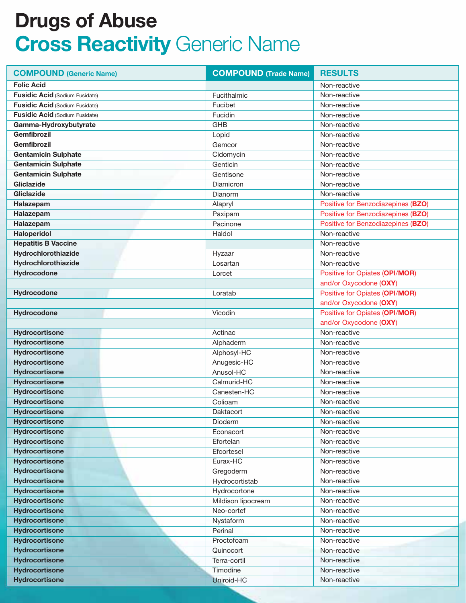| <b>COMPOUND (Generic Name)</b>        | <b>COMPOUND</b> (Trade Name) | <b>RESULTS</b>                        |
|---------------------------------------|------------------------------|---------------------------------------|
| <b>Folic Acid</b>                     |                              | Non-reactive                          |
| <b>Fusidic Acid (Sodium Fusidate)</b> | Fucithalmic                  | Non-reactive                          |
| <b>Fusidic Acid (Sodium Fusidate)</b> | Fucibet                      | Non-reactive                          |
| <b>Fusidic Acid (Sodium Fusidate)</b> | Fucidin                      | Non-reactive                          |
| Gamma-Hydroxybutyrate                 | GHB                          | Non-reactive                          |
| <b>Gemfibrozil</b>                    | Lopid                        | Non-reactive                          |
| <b>Gemfibrozil</b>                    | Gemcor                       | Non-reactive                          |
| <b>Gentamicin Sulphate</b>            | Cidomycin                    | Non-reactive                          |
| <b>Gentamicin Sulphate</b>            | Genticin                     | Non-reactive                          |
| <b>Gentamicin Sulphate</b>            | Gentisone                    | Non-reactive                          |
| Gliclazide                            | Diamicron                    | Non-reactive                          |
| Gliclazide                            | Dianorm                      | Non-reactive                          |
| Halazepam                             | Alapryl                      | Positive for Benzodiazepines (BZO)    |
| Halazepam                             | Paxipam                      | Positive for Benzodiazepines (BZO)    |
| Halazepam                             | Pacinone                     | Positive for Benzodiazepines (BZO)    |
| <b>Haloperidol</b>                    | Haldol                       | Non-reactive                          |
| <b>Hepatitis B Vaccine</b>            |                              | Non-reactive                          |
| Hydrochlorothiazide                   | Hyzaar                       | Non-reactive                          |
| Hydrochlorothiazide                   | Losartan                     | Non-reactive                          |
| <b>Hydrocodone</b>                    | Lorcet                       | Positive for Opiates (OPI/MOR)        |
|                                       |                              | and/or Oxycodone (OXY)                |
| Hydrocodone                           | Loratab                      | <b>Positive for Opiates (OPI/MOR)</b> |
|                                       |                              | and/or Oxycodone (OXY)                |
| Hydrocodone                           | Vicodin                      | <b>Positive for Opiates (OPI/MOR)</b> |
|                                       |                              | and/or Oxycodone (OXY)                |
| Hydrocortisone                        | Actinac                      | Non-reactive                          |
| Hydrocortisone                        | Alphaderm                    | Non-reactive                          |
| Hydrocortisone                        | Alphosyl-HC                  | Non-reactive                          |
| Hydrocortisone                        | Anugesic-HC                  | Non-reactive                          |
| <b>Hydrocortisone</b>                 | Anusol-HC                    | Non-reactive                          |
| <b>Hydrocortisone</b>                 | Calmurid-HC                  | Non-reactive                          |
| <b>Hydrocortisone</b>                 | Canesten-HC                  | Non-reactive                          |
| <b>Hydrocortisone</b>                 | Colioam                      | Non-reactive                          |
| <b>Hydrocortisone</b>                 | Daktacort                    | Non-reactive                          |
| Hydrocortisone                        | Dioderm                      | Non-reactive                          |
| <b>Hydrocortisone</b>                 | Econacort                    | Non-reactive                          |
| <b>Hydrocortisone</b>                 | Efortelan                    | Non-reactive                          |
| <b>Hydrocortisone</b>                 | Efcortesel                   | Non-reactive                          |
| <b>Hydrocortisone</b>                 | Eurax-HC                     | Non-reactive                          |
| <b>Hydrocortisone</b>                 | Gregoderm                    | Non-reactive                          |
| <b>Hydrocortisone</b>                 | Hydrocortistab               | Non-reactive                          |
| <b>Hydrocortisone</b>                 | Hydrocortone                 | Non-reactive                          |
| <b>Hydrocortisone</b>                 | Mildison lipocream           | Non-reactive                          |
| <b>Hydrocortisone</b>                 | Neo-cortef                   | Non-reactive                          |
| <b>Hydrocortisone</b>                 | Nystaform                    | Non-reactive                          |
| <b>Hydrocortisone</b>                 | Perinal                      | Non-reactive                          |
| <b>Hydrocortisone</b>                 | Proctofoam                   | Non-reactive                          |
| <b>Hydrocortisone</b>                 | Quinocort                    | Non-reactive                          |
| <b>Hydrocortisone</b>                 | Terra-cortil                 | Non-reactive                          |
| <b>Hydrocortisone</b>                 | Timodine                     | Non-reactive                          |
| <b>Hydrocortisone</b>                 | Uniroid-HC                   | Non-reactive                          |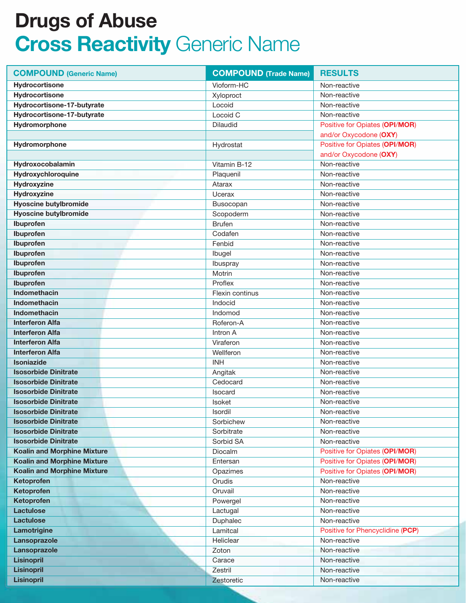| <b>COMPOUND (Generic Name)</b>     | <b>COMPOUND (Trade Name)</b> | <b>RESULTS</b>                   |
|------------------------------------|------------------------------|----------------------------------|
| Hydrocortisone                     | Vioform-HC                   | Non-reactive                     |
| <b>Hydrocortisone</b>              | Xyloproct                    | Non-reactive                     |
| Hydrocortisone-17-butyrate         | Locoid                       | Non-reactive                     |
| Hydrocortisone-17-butyrate         | Locoid C                     | Non-reactive                     |
| Hydromorphone                      | <b>Dilaudid</b>              | Positive for Opiates (OPI/MOR)   |
|                                    |                              | and/or Oxycodone (OXY)           |
| Hydromorphone                      | Hydrostat                    | Positive for Opiates (OPI/MOR)   |
|                                    |                              | and/or Oxycodone (OXY)           |
| Hydroxocobalamin                   | Vitamin B-12                 | Non-reactive                     |
| Hydroxychloroquine                 | Plaquenil                    | Non-reactive                     |
| Hydroxyzine                        | Atarax                       | Non-reactive                     |
| Hydroxyzine                        | Ucerax                       | Non-reactive                     |
| <b>Hyoscine butylbromide</b>       | Busocopan                    | Non-reactive                     |
| <b>Hyoscine butylbromide</b>       | Scopoderm                    | Non-reactive                     |
| Ibuprofen                          | <b>Brufen</b>                | Non-reactive                     |
| Ibuprofen                          | Codafen                      | Non-reactive                     |
| Ibuprofen                          | Fenbid                       | Non-reactive                     |
| Ibuprofen                          | Ibugel                       | Non-reactive                     |
| Ibuprofen                          | Ibuspray                     | Non-reactive                     |
| Ibuprofen                          | Motrin                       | Non-reactive                     |
| Ibuprofen                          | Proflex                      | Non-reactive                     |
| Indomethacin                       | Flexin continus              | Non-reactive                     |
| <b>Indomethacin</b>                | Indocid                      | Non-reactive                     |
| <b>Indomethacin</b>                | Indomod                      | Non-reactive                     |
| <b>Interferon Alfa</b>             | Roferon-A                    | Non-reactive                     |
| <b>Interferon Alfa</b>             | Intron A                     | Non-reactive                     |
| <b>Interferon Alfa</b>             | Viraferon                    | Non-reactive                     |
| <b>Interferon Alfa</b>             | Wellferon                    | Non-reactive                     |
| Isoniazide                         | <b>INH</b>                   | Non-reactive                     |
| <b>Isosorbide Dinitrate</b>        | Angitak                      | Non-reactive                     |
| <b>Isosorbide Dinitrate</b>        | Cedocard                     | Non-reactive                     |
| <b>Isosorbide Dinitrate</b>        | Isocard                      | Non-reactive                     |
| <b>Isosorbide Dinitrate</b>        | <b>Isoket</b>                | Non-reactive                     |
| <b>Isosorbide Dinitrate</b>        | Isordil                      | Non-reactive                     |
| <b>Isosorbide Dinitrate</b>        | Sorbichew                    | Non-reactive                     |
| <b>Isosorbide Dinitrate</b>        | Sorbitrate                   | Non-reactive                     |
| <b>Isosorbide Dinitrate</b>        | Sorbid SA                    | Non-reactive                     |
| <b>Koalin and Morphine Mixture</b> | Diocalm                      | Positive for Opiates (OPI/MOR)   |
| <b>Koalin and Morphine Mixture</b> | Entersan                     | Positive for Opiates (OPI/MOR)   |
| <b>Koalin and Morphine Mixture</b> | Opazimes                     | Positive for Opiates (OPI/MOR)   |
| Ketoprofen                         | Orudis                       | Non-reactive                     |
| Ketoprofen                         | Oruvail                      | Non-reactive                     |
| Ketoprofen                         | Powergel                     | Non-reactive                     |
| <b>Lactulose</b>                   | Lactugal                     | Non-reactive                     |
| <b>Lactulose</b>                   | Duphalec                     | Non-reactive                     |
| Lamotrigine                        | Lamitcal                     | Positive for Phencyclidine (PCP) |
| Lansoprazole                       | Heliclear                    | Non-reactive                     |
| Lansoprazole                       | Zoton                        | Non-reactive                     |
| <b>Lisinopril</b>                  | Carace                       | Non-reactive                     |
| <b>Lisinopril</b>                  | Zestril                      | Non-reactive                     |
| <b>Lisinopril</b>                  | Zestoretic                   | Non-reactive                     |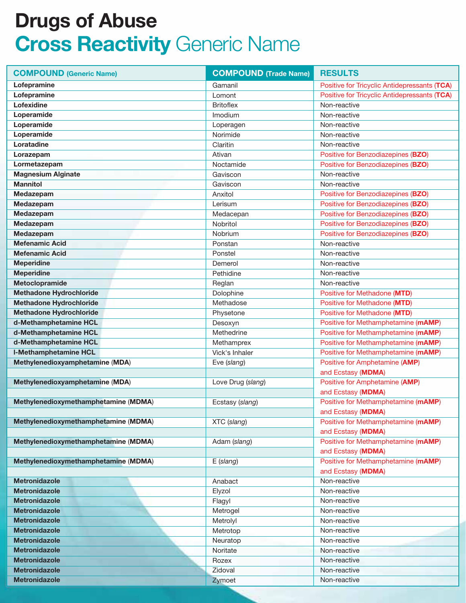| <b>COMPOUND (Generic Name)</b>       | <b>COMPOUND (Trade Name)</b> | <b>RESULTS</b>                               |
|--------------------------------------|------------------------------|----------------------------------------------|
| Lofepramine                          | Gamanil                      | Positive for Tricyclic Antidepressants (TCA) |
| Lofepramine                          | Lomont                       | Positive for Tricyclic Antidepressants (TCA) |
| Lofexidine                           | <b>Britoflex</b>             | Non-reactive                                 |
| Loperamide                           | Imodium                      | Non-reactive                                 |
| Loperamide                           | Loperagen                    | Non-reactive                                 |
| Loperamide                           | Norimide                     | Non-reactive                                 |
| Loratadine                           | Claritin                     | Non-reactive                                 |
| Lorazepam                            | Ativan                       | Positive for Benzodiazepines (BZO)           |
| Lormetazepam                         | Noctamide                    | Positive for Benzodiazepines (BZO)           |
| <b>Magnesium Alginate</b>            | Gaviscon                     | Non-reactive                                 |
| <b>Mannitol</b>                      | Gaviscon                     | Non-reactive                                 |
| Medazepam                            | Anxitol                      | Positive for Benzodiazepines (BZO)           |
| Medazepam                            | Lerisum                      | Positive for Benzodiazepines (BZO)           |
| Medazepam                            | Medacepan                    | Positive for Benzodiazepines (BZO)           |
| Medazepam                            | Nobritol                     | Positive for Benzodiazepines (BZO)           |
| Medazepam                            | Nobrium                      | Positive for Benzodiazepines (BZO)           |
| <b>Mefenamic Acid</b>                | Ponstan                      | Non-reactive                                 |
| <b>Mefenamic Acid</b>                | Ponstel                      | Non-reactive                                 |
| <b>Meperidine</b>                    | Demerol                      | Non-reactive                                 |
| <b>Meperidine</b>                    | Pethidine                    | Non-reactive                                 |
| Metoclopramide                       | Reglan                       | Non-reactive                                 |
| <b>Methadone Hydrochloride</b>       | Dolophine                    | Positive for Methadone (MTD)                 |
| <b>Methadone Hydrochloride</b>       | Methadose                    | Positive for Methadone (MTD)                 |
| <b>Methadone Hydrochloride</b>       | Physetone                    | Positive for Methadone (MTD)                 |
| d-Methamphetamine HCL                | Desoxyn                      | Positive for Methamphetamine (mAMP)          |
| d-Methamphetamine HCL                | Methedrine                   | Positive for Methamphetamine (mAMP)          |
| d-Methamphetamine HCL                | Methamprex                   | Positive for Methamphetamine (mAMP)          |
| <b>I-Methamphetamine HCL</b>         | Vick's Inhaler               | Positive for Methamphetamine (mAMP)          |
| Methylenedioxyamphetamine (MDA)      | Eve (slang)                  | Positive for Amphetamine (AMP)               |
|                                      |                              | and Ecstasy (MDMA)                           |
| Methylenedioxyamphetamine (MDA)      | Love Drug (slang)            | Positive for Amphetamine (AMP)               |
|                                      |                              | and Ecstasy (MDMA)                           |
| Methylenedioxymethamphetamine (MDMA) | Ecstasy (slang)              | Positive for Methamphetamine (mAMP)          |
|                                      |                              | and Ecstasy (MDMA)                           |
| Methylenedioxymethamphetamine (MDMA) | XTC (slang)                  | Positive for Methamphetamine (mAMP)          |
|                                      |                              | and Ecstasy (MDMA)                           |
| Methylenedioxymethamphetamine (MDMA) | Adam (slang)                 | Positive for Methamphetamine (mAMP)          |
|                                      |                              | and Ecstasy (MDMA)                           |
| Methylenedioxymethamphetamine (MDMA) | $E$ (slang)                  | Positive for Methamphetamine (mAMP)          |
|                                      |                              | and Ecstasy (MDMA)                           |
| <b>Metronidazole</b>                 | Anabact                      | Non-reactive                                 |
| <b>Metronidazole</b>                 | Elyzol                       | Non-reactive                                 |
| <b>Metronidazole</b>                 | Flagyl                       | Non-reactive                                 |
| <b>Metronidazole</b>                 | Metrogel                     | Non-reactive                                 |
| <b>Metronidazole</b>                 | Metrolyl                     | Non-reactive                                 |
| <b>Metronidazole</b>                 | Metrotop                     | Non-reactive                                 |
| <b>Metronidazole</b>                 | Neuratop                     | Non-reactive                                 |
| <b>Metronidazole</b>                 | Noritate                     | Non-reactive                                 |
| <b>Metronidazole</b>                 | Rozex                        | Non-reactive                                 |
| <b>Metronidazole</b>                 | Zidoval                      | Non-reactive                                 |
| <b>Metronidazole</b>                 | Zymoet                       | Non-reactive                                 |
|                                      |                              |                                              |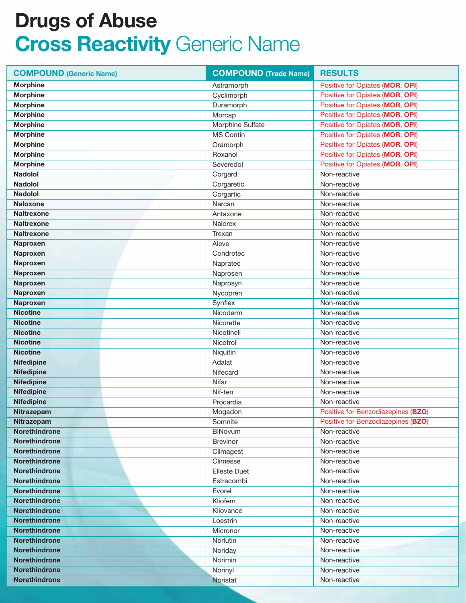| <b>COMPOUND (Generic Name)</b> | <b>COMPOUND (Trade Name)</b> | <b>RESULTS</b>                     |
|--------------------------------|------------------------------|------------------------------------|
| <b>Morphine</b>                | Astramorph                   | Positive for Opiates (MOR, OPI)    |
| <b>Morphine</b>                | Cyclimorph                   | Positive for Opiates (MOR, OPI)    |
| <b>Morphine</b>                | Duramorph                    | Positive for Opiates (MOR, OPI)    |
| <b>Morphine</b>                | Morcap                       | Positive for Opiates (MOR, OPI)    |
| <b>Morphine</b>                | Morphine Sulfate             | Positive for Opiates (MOR, OPI)    |
| <b>Morphine</b>                | <b>MS Contin</b>             | Positive for Opiates (MOR, OPI)    |
| <b>Morphine</b>                | Oramorph                     | Positive for Opiates (MOR, OPI)    |
| <b>Morphine</b>                | Roxanol                      | Positive for Opiates (MOR, OPI)    |
| <b>Morphine</b>                | Severedol                    | Positive for Opiates (MOR, OPI)    |
| <b>Nadolol</b>                 | Corgard                      | Non-reactive                       |
| <b>Nadolol</b>                 | Corgaretic                   | Non-reactive                       |
| <b>Nadolol</b>                 | Corgartic                    | Non-reactive                       |
| <b>Naloxone</b>                | Narcan                       | Non-reactive                       |
| <b>Naltrexone</b>              | Antaxone                     | Non-reactive                       |
| <b>Naltrexone</b>              | Nalorex                      | Non-reactive                       |
| <b>Naltrexone</b>              | Trexan                       | Non-reactive                       |
| <b>Naproxen</b>                | Aleve                        | Non-reactive                       |
| <b>Naproxen</b>                | Condrotec                    | Non-reactive                       |
| Naproxen                       | Napratec                     | Non-reactive                       |
| Naproxen                       | Naprosen                     | Non-reactive                       |
| <b>Naproxen</b>                | Naprosyn                     | Non-reactive                       |
| <b>Naproxen</b>                | Nycopren                     | Non-reactive                       |
| Naproxen                       | Synflex                      | Non-reactive                       |
| <b>Nicotine</b>                | Nicoderm                     | Non-reactive                       |
| <b>Nicotine</b>                | Nicorette                    | Non-reactive                       |
| <b>Nicotine</b>                | Nicotinell                   | Non-reactive                       |
| <b>Nicotine</b>                | Nicotrol                     | Non-reactive                       |
| <b>Nicotine</b>                | Niquitin                     | Non-reactive                       |
| <b>Nifedipine</b>              | Adalat                       | Non-reactive                       |
| <b>Nifedipine</b>              | Nifecard                     | Non-reactive                       |
| <b>Nifedipine</b>              | Nifar                        | Non-reactive                       |
| <b>Nifedipine</b>              | Nif-ten                      | Non-reactive                       |
| <b>Nifedipine</b>              | Procardia                    | Non-reactive                       |
| Nitrazepam                     | Mogadon                      | Positive for Benzodiazepines (BZO) |
| Nitrazepam                     | Somnite                      | Positive for Benzodiazepines (BZO) |
| Norethindrone                  | BiNovum                      | Non-reactive                       |
| <b>Norethindrone</b>           | <b>Brevinor</b>              | Non-reactive                       |
| <b>Norethindrone</b>           | Climagest                    | Non-reactive                       |
| <b>Norethindrone</b>           | Climesse                     | Non-reactive                       |
| <b>Norethindrone</b>           | <b>Elleste Duet</b>          | Non-reactive                       |
| <b>Norethindrone</b>           | Estracombi                   | Non-reactive                       |
| <b>Norethindrone</b>           | Evorel                       | Non-reactive                       |
| <b>Norethindrone</b>           | Kliofem                      | Non-reactive                       |
| <b>Norethindrone</b>           | Kliovance                    | Non-reactive                       |
| <b>Norethindrone</b>           | Loestrin                     | Non-reactive                       |
| <b>Norethindrone</b>           | Micronor                     | Non-reactive                       |
| <b>Norethindrone</b>           | Norlutin                     | Non-reactive                       |
| <b>Norethindrone</b>           | Noriday                      | Non-reactive                       |
| <b>Norethindrone</b>           | Norimin                      | Non-reactive                       |
| <b>Norethindrone</b>           | Norinyl                      | Non-reactive                       |
| <b>Norethindrone</b>           | Noristat                     | Non-reactive                       |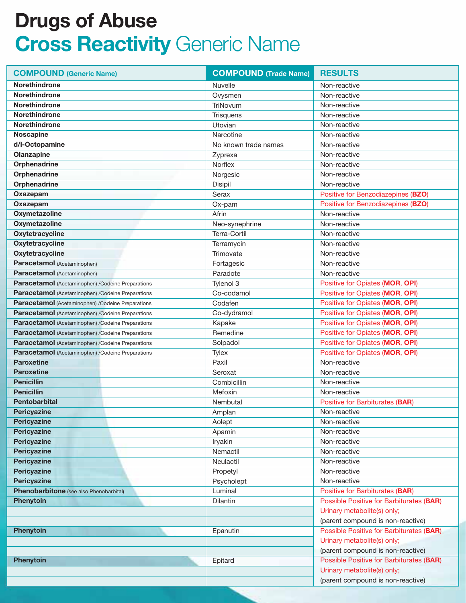| <b>COMPOUND (Generic Name)</b>                     | <b>COMPOUND</b> (Trade Name) | <b>RESULTS</b>                                  |
|----------------------------------------------------|------------------------------|-------------------------------------------------|
| <b>Norethindrone</b>                               | <b>Nuvelle</b>               | Non-reactive                                    |
| <b>Norethindrone</b>                               | Ovysmen                      | Non-reactive                                    |
| <b>Norethindrone</b>                               | TriNovum                     | Non-reactive                                    |
| <b>Norethindrone</b>                               | Trisquens                    | Non-reactive                                    |
| <b>Norethindrone</b>                               | Utovian                      | Non-reactive                                    |
| <b>Noscapine</b>                                   | Narcotine                    | Non-reactive                                    |
| d/l-Octopamine                                     | No known trade names         | Non-reactive                                    |
| Olanzapine                                         | Zyprexa                      | Non-reactive                                    |
| Orphenadrine                                       | Norflex                      | Non-reactive                                    |
| <b>Orphenadrine</b>                                | Norgesic                     | Non-reactive                                    |
| Orphenadrine                                       | Disipil                      | Non-reactive                                    |
| Oxazepam                                           | Serax                        | Positive for Benzodiazepines (BZO)              |
| Oxazepam                                           | Ox-pam                       | Positive for Benzodiazepines (BZO)              |
| Oxymetazoline                                      | Afrin                        | Non-reactive                                    |
| Oxymetazoline                                      | Neo-synephrine               | Non-reactive                                    |
| Oxytetracycline                                    | Terra-Cortil                 | Non-reactive                                    |
| Oxytetracycline                                    | Terramycin                   | Non-reactive                                    |
| <b>Oxytetracycline</b>                             | Trimovate                    | Non-reactive                                    |
| Paracetamol (Acetaminophen)                        | Fortagesic                   | Non-reactive                                    |
| Paracetamol (Acetaminophen)                        | Paradote                     | Non-reactive                                    |
| Paracetamol (Acetaminophen) / Codeine Preparations | Tylenol 3                    | Positive for Opiates (MOR, OPI)                 |
| Paracetamol (Acetaminophen) / Codeine Preparations | Co-codamol                   | Positive for Opiates (MOR, OPI)                 |
| Paracetamol (Acetaminophen) /Codeine Preparations  | Codafen                      | Positive for Opiates (MOR, OPI)                 |
| Paracetamol (Acetaminophen) / Codeine Preparations | Co-dydramol                  | Positive for Opiates (MOR, OPI)                 |
| Paracetamol (Acetaminophen) / Codeine Preparations | Kapake                       | Positive for Opiates (MOR, OPI)                 |
| Paracetamol (Acetaminophen) / Codeine Preparations | Remedine                     | Positive for Opiates (MOR, OPI)                 |
| Paracetamol (Acetaminophen) / Codeine Preparations | Solpadol                     | Positive for Opiates (MOR, OPI)                 |
| Paracetamol (Acetaminophen) / Codeine Preparations | Tylex                        | Positive for Opiates (MOR, OPI)                 |
| <b>Paroxetine</b>                                  | Paxil                        | Non-reactive                                    |
| <b>Paroxetine</b>                                  | Seroxat                      | Non-reactive                                    |
| <b>Penicillin</b>                                  | Combicillin                  | Non-reactive                                    |
| <b>Penicillin</b>                                  | Mefoxin                      | Non-reactive                                    |
| <b>Pentobarbital</b>                               | Nembutal                     | Positive for Barbiturates (BAR)                 |
| Pericyazine                                        | Amplan                       | Non-reactive                                    |
| <b>Pericyazine</b>                                 | Aolept                       | Non-reactive                                    |
| Pericyazine                                        | Apamin                       | Non-reactive                                    |
| <b>Pericyazine</b>                                 | Iryakin                      | Non-reactive                                    |
| <b>Pericyazine</b>                                 | Nemactil                     | Non-reactive                                    |
| <b>Pericyazine</b>                                 | Neulactil                    | Non-reactive                                    |
| <b>Pericyazine</b>                                 | Propetyl                     | Non-reactive                                    |
| <b>Pericyazine</b>                                 | Psycholept                   | Non-reactive                                    |
| Phenobarbitone (see also Phenobarbital)            | Luminal                      | Positive for Barbiturates (BAR)                 |
| <b>Phenytoin</b>                                   | Dilantin                     | <b>Possible Positive for Barbiturates (BAR)</b> |
|                                                    |                              | Urinary metabolite(s) only;                     |
|                                                    |                              | (parent compound is non-reactive)               |
| <b>Phenytoin</b>                                   | Epanutin                     | <b>Possible Positive for Barbiturates (BAR)</b> |
|                                                    |                              | Urinary metabolite(s) only;                     |
|                                                    |                              | (parent compound is non-reactive)               |
| <b>Phenytoin</b>                                   | Epitard                      | Possible Positive for Barbiturates (BAR)        |
|                                                    |                              | Urinary metabolite(s) only;                     |
|                                                    |                              | (parent compound is non-reactive)               |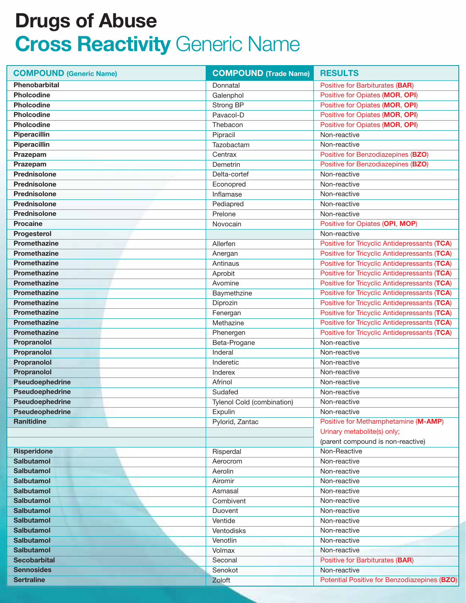| <b>COMPOUND (Generic Name)</b> | <b>COMPOUND (Trade Name)</b> | <b>RESULTS</b>                               |
|--------------------------------|------------------------------|----------------------------------------------|
| <b>Phenobarbital</b>           | Donnatal                     | Positive for Barbiturates (BAR)              |
| <b>Pholcodine</b>              | Galenphol                    | Positive for Opiates (MOR, OPI)              |
| <b>Pholcodine</b>              | Strong BP                    | Positive for Opiates (MOR, OPI)              |
| <b>Pholcodine</b>              | Pavacol-D                    | Positive for Opiates (MOR, OPI)              |
| <b>Pholcodine</b>              | Thebacon                     | Positive for Opiates (MOR, OPI)              |
| Piperacillin                   | Pipracil                     | Non-reactive                                 |
| Piperacillin                   | Tazobactam                   | Non-reactive                                 |
| Prazepam                       | Centrax                      | Positive for Benzodiazepines (BZO)           |
| Prazepam                       | Demetrin                     | Positive for Benzodiazepines (BZO)           |
| Prednisolone                   | Delta-cortef                 | Non-reactive                                 |
| <b>Prednisolone</b>            | Econopred                    | Non-reactive                                 |
| <b>Prednisolone</b>            | Inflamase                    | Non-reactive                                 |
| Prednisolone                   | Pediapred                    | Non-reactive                                 |
| <b>Prednisolone</b>            | Prelone                      | Non-reactive                                 |
| <b>Procaine</b>                | Novocain                     | Positive for Opiates (OPI, MOP)              |
| Progesterol                    |                              | Non-reactive                                 |
| <b>Promethazine</b>            | Allerfen                     | Positive for Tricyclic Antidepressants (TCA) |
| <b>Promethazine</b>            | Anergan                      | Positive for Tricyclic Antidepressants (TCA) |
| <b>Promethazine</b>            | Antinaus                     | Positive for Tricyclic Antidepressants (TCA) |
| <b>Promethazine</b>            | Aprobit                      | Positive for Tricyclic Antidepressants (TCA) |
| <b>Promethazine</b>            | Avomine                      | Positive for Tricyclic Antidepressants (TCA) |
| <b>Promethazine</b>            | Baymethzine                  | Positive for Tricyclic Antidepressants (TCA) |
| <b>Promethazine</b>            | Diprozin                     | Positive for Tricyclic Antidepressants (TCA) |
| <b>Promethazine</b>            | Fenergan                     | Positive for Tricyclic Antidepressants (TCA) |
| <b>Promethazine</b>            | Methazine                    | Positive for Tricyclic Antidepressants (TCA) |
| <b>Promethazine</b>            | Phenergen                    | Positive for Tricyclic Antidepressants (TCA) |
| Propranolol                    | Beta-Progane                 | Non-reactive                                 |
| Propranolol                    | Inderal                      | Non-reactive                                 |
| Propranolol                    | Inderetic                    | Non-reactive                                 |
| Propranolol                    | Inderex                      | Non-reactive                                 |
| Pseudoephedrine                | Afrinol                      | Non-reactive                                 |
| Pseudoephedrine                | Sudafed                      | Non-reactive                                 |
| Pseudoephedrine                | Tylenol Cold (combination)   | Non-reactive                                 |
| <b>Pseudeophedrine</b>         | Expulin                      | Non-reactive                                 |
| <b>Ranitidine</b>              | Pylorid, Zantac              | Positive for Methamphetamine (M-AMP)         |
|                                |                              | Urinary metabolite(s) only;                  |
|                                |                              | (parent compound is non-reactive)            |
| <b>Risperidone</b>             | Risperdal                    | Non-Reactive                                 |
| <b>Salbutamol</b>              | Aerocrom                     | Non-reactive                                 |
| <b>Salbutamol</b>              | Aerolin                      | Non-reactive                                 |
| <b>Salbutamol</b>              | Airomir                      | Non-reactive                                 |
| <b>Salbutamol</b>              | Asmasal                      | Non-reactive                                 |
| <b>Salbutamol</b>              | Combivent                    | Non-reactive                                 |
| <b>Salbutamol</b>              | Duovent                      | Non-reactive                                 |
| <b>Salbutamol</b>              | Ventide                      | Non-reactive                                 |
| <b>Salbutamol</b>              | Ventodisks                   | Non-reactive                                 |
| <b>Salbutamol</b>              | Venotlin                     | Non-reactive                                 |
| <b>Salbutamol</b>              | Volmax                       | Non-reactive                                 |
| <b>Secobarbital</b>            | Seconal                      | Positive for Barbiturates (BAR)              |
| <b>Sennosides</b>              | Senokot                      | Non-reactive                                 |
| <b>Sertraline</b>              | Zoloft                       | Potential Positive for Benzodiazepines (BZO) |